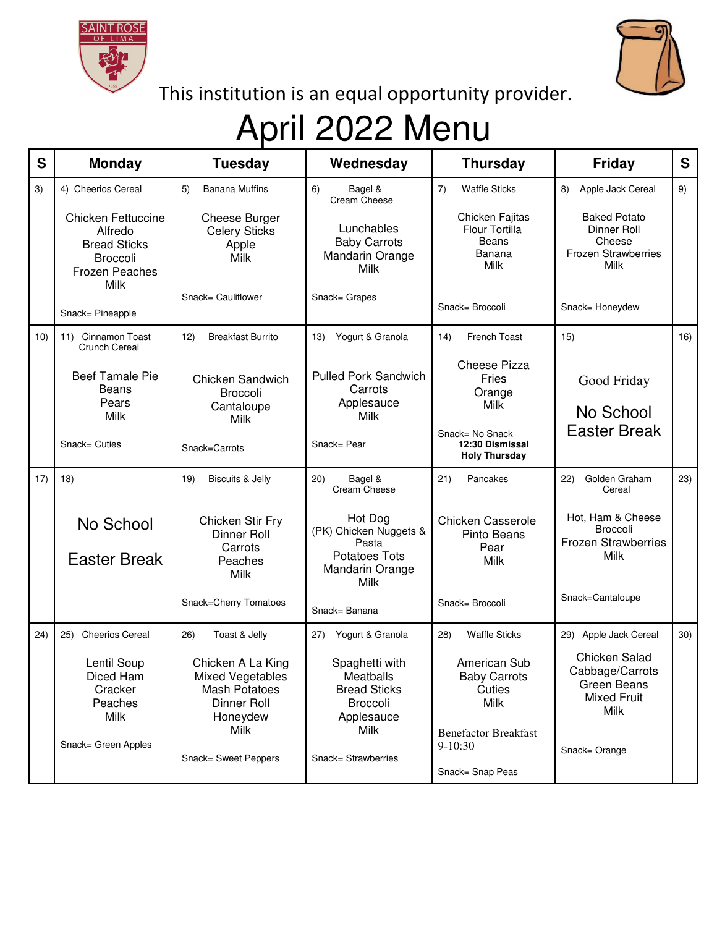



This institution is an equal opportunity provider.

## April 2022 Menu

| S    | <b>Monday</b>                                                                                                          | <b>Tuesday</b>                                                                           | Wednesday                                                                                            | <b>Thursday</b>                                                     | Friday                                                                                    | S   |
|------|------------------------------------------------------------------------------------------------------------------------|------------------------------------------------------------------------------------------|------------------------------------------------------------------------------------------------------|---------------------------------------------------------------------|-------------------------------------------------------------------------------------------|-----|
| 3)   | 4) Cheerios Cereal                                                                                                     | <b>Banana Muffins</b><br>5)                                                              | 6)<br>Bagel &<br>Cream Cheese                                                                        | <b>Waffle Sticks</b><br>7)                                          | 8)<br>Apple Jack Cereal                                                                   | 9)  |
|      | <b>Chicken Fettuccine</b><br>Alfredo<br><b>Bread Sticks</b><br><b>Broccoli</b><br><b>Frozen Peaches</b><br><b>Milk</b> | Cheese Burger<br><b>Celery Sticks</b><br>Apple<br>Milk                                   | Lunchables<br><b>Baby Carrots</b><br>Mandarin Orange<br>Milk                                         | Chicken Fajitas<br>Flour Tortilla<br><b>Beans</b><br>Banana<br>Milk | <b>Baked Potato</b><br>Dinner Roll<br>Cheese<br><b>Frozen Strawberries</b><br><b>Milk</b> |     |
|      | Snack= Pineapple                                                                                                       | Snack= Cauliflower                                                                       | Snack= Grapes                                                                                        | Snack= Broccoli                                                     | Snack= Honeydew                                                                           |     |
| 10)  | Cinnamon Toast<br>11)<br><b>Crunch Cereal</b>                                                                          | 12)<br><b>Breakfast Burrito</b>                                                          | Yogurt & Granola<br>13)                                                                              | <b>French Toast</b><br>14)                                          | 15)                                                                                       | 16) |
|      | <b>Beef Tamale Pie</b><br><b>Beans</b><br>Pears<br>Milk                                                                | Chicken Sandwich<br>Broccoli<br>Cantaloupe                                               | <b>Pulled Pork Sandwich</b><br>Carrots<br>Applesauce<br>Milk                                         | Cheese Pizza<br>Fries<br>Orange<br>Milk                             | Good Friday<br>No School                                                                  |     |
|      | Snack= Cuties                                                                                                          | Milk<br>Snack=Carrots                                                                    | Snack= Pear                                                                                          | Snack= No Snack<br>12:30 Dismissal<br><b>Holy Thursday</b>          | <b>Easter Break</b>                                                                       |     |
| 17)  | 18)                                                                                                                    | 19)<br><b>Biscuits &amp; Jelly</b>                                                       | 20)<br>Bagel &<br>Cream Cheese                                                                       | 21)<br>Pancakes                                                     | Golden Graham<br>22)<br>Cereal                                                            | 23) |
|      | No School<br><b>Easter Break</b>                                                                                       | Chicken Stir Fry<br><b>Dinner Roll</b><br>Carrots<br>Peaches<br><b>Milk</b>              | Hot Dog<br>(PK) Chicken Nuggets &<br>Pasta<br><b>Potatoes Tots</b><br>Mandarin Orange<br><b>Milk</b> | <b>Chicken Casserole</b><br>Pinto Beans<br>Pear<br>Milk             | Hot, Ham & Cheese<br><b>Broccoli</b><br><b>Frozen Strawberries</b><br>Milk                |     |
|      |                                                                                                                        | Snack=Cherry Tomatoes                                                                    | Snack= Banana                                                                                        | Snack= Broccoli                                                     | Snack=Cantaloupe                                                                          |     |
| (24) | <b>Cheerios Cereal</b><br>25)                                                                                          | Toast & Jelly<br>26)                                                                     | Yogurt & Granola<br>27)                                                                              | <b>Waffle Sticks</b><br>28)                                         | 29) Apple Jack Cereal                                                                     | 30) |
|      | Lentil Soup<br>Diced Ham<br>Cracker<br>Peaches<br>Milk                                                                 | Chicken A La King<br>Mixed Vegetables<br><b>Mash Potatoes</b><br>Dinner Roll<br>Honeydew | Spaghetti with<br>Meatballs<br><b>Bread Sticks</b><br>Broccoli<br>Applesauce                         | American Sub<br><b>Baby Carrots</b><br>Cuties<br>Milk               | Chicken Salad<br>Cabbage/Carrots<br>Green Beans<br><b>Mixed Fruit</b><br>Milk             |     |
|      | Snack= Green Apples                                                                                                    | Milk<br>Snack= Sweet Peppers                                                             | Milk<br>Snack= Strawberries                                                                          | <b>Benefactor Breakfast</b><br>$9-10:30$<br>Snack= Snap Peas        | Snack= Orange                                                                             |     |